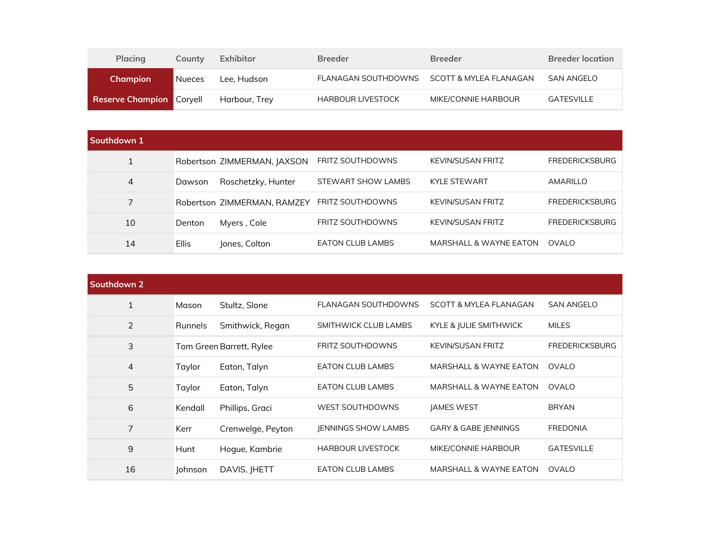| <b>Placing</b>                  | County | Exhibitor     | <b>Breeder</b>           | <b>Breeder</b>         | <b>Breeder location</b> |
|---------------------------------|--------|---------------|--------------------------|------------------------|-------------------------|
| <b>Champion</b>                 | Nueces | Lee. Hudson   | FLANAGAN SOUTHDOWNS      | SCOTT & MYLEA FLANAGAN | SAN ANGELO              |
| <b>Reserve Champion Coryell</b> |        | Harbour, Trey | <b>HARBOUR LIVESTOCK</b> | MIKE/CONNIE HARBOUR    | GATESVILLE              |

| Southdown 1 |              |                             |                         |                          |                       |
|-------------|--------------|-----------------------------|-------------------------|--------------------------|-----------------------|
|             |              | Robertson ZIMMERMAN, JAXSON | <b>FRITZ SOUTHDOWNS</b> | <b>KEVIN/SUSAN FRITZ</b> | <b>FREDERICKSBURG</b> |
| 4           | Dawson       | Roschetzky, Hunter          | STEWART SHOW LAMBS      | <b>KYLE STEWART</b>      | AMARILLO              |
| 7           |              | Robertson ZIMMERMAN, RAMZEY | <b>FRITZ SOUTHDOWNS</b> | <b>KEVIN/SUSAN FRITZ</b> | <b>FREDERICKSBURG</b> |
| 10          | Denton       | Myers, Cole                 | <b>FRITZ SOUTHDOWNS</b> | KEVIN/SUSAN FRITZ        | <b>FREDERICKSBURG</b> |
| 14          | <b>Ellis</b> | Jones, Colton               | <b>EATON CLUB LAMBS</b> | MARSHALL & WAYNE EATON   | OVALO                 |

| Southdown 2  |                |                          |                            |                                   |                       |
|--------------|----------------|--------------------------|----------------------------|-----------------------------------|-----------------------|
| $\mathbf{1}$ | Mason          | Stultz, Slone            | FLANAGAN SOUTHDOWNS        | <b>SCOTT &amp; MYLEA FLANAGAN</b> | <b>SAN ANGELO</b>     |
| 2            | <b>Runnels</b> | Smithwick, Regan         | SMITHWICK CLUB LAMBS       | KYLE & JULIE SMITHWICK            | <b>MILES</b>          |
| 3            |                | Tom Green Barrett, Rylee | <b>FRITZ SOUTHDOWNS</b>    | <b>KEVIN/SUSAN FRITZ</b>          | <b>FREDERICKSBURG</b> |
| 4            | Taylor         | Eaton, Talyn             | <b>EATON CLUB LAMBS</b>    | <b>MARSHALL &amp; WAYNE EATON</b> | <b>OVALO</b>          |
| 5            | Taylor         | Eaton, Talyn             | <b>EATON CLUB LAMBS</b>    | MARSHALL & WAYNE EATON            | <b>OVALO</b>          |
| 6            | Kendall        | Phillips, Graci          | <b>WEST SOUTHDOWNS</b>     | <b>JAMES WEST</b>                 | <b>BRYAN</b>          |
| 7            | Kerr           | Crenwelge, Peyton        | <b>JENNINGS SHOW LAMBS</b> | GARY & GABE JENNINGS              | <b>FREDONIA</b>       |
| 9            | Hunt           | Hogue, Kambrie           | <b>HARBOUR LIVESTOCK</b>   | MIKE/CONNIE HARBOUR               | <b>GATESVILLE</b>     |
| 16           | <b>lohnson</b> | DAVIS, JHETT             | <b>EATON CLUB LAMBS</b>    | MARSHALL & WAYNE EATON            | OVALO                 |